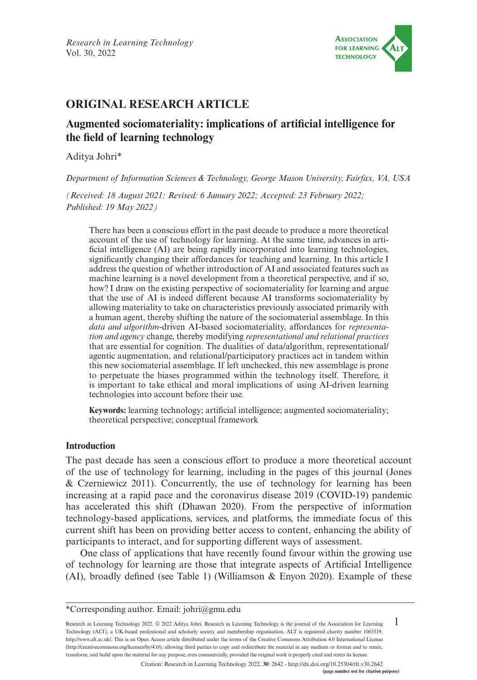

# **ORIGINAL RESEARCH ARTICLE**

# **Augmented sociomateriality: implications of artificial intelligence for the field of learning technology**

Aditya Johri\*

*Department of Information Sciences & Technology, George Mason University, Fairfax, VA, USA*

*(Received: 18 August 2021; Revised: 6 January 2022; Accepted: 23 February 2022; Published: 19 May 2022)*

There has been a conscious effort in the past decade to produce a more theoretical account of the use of technology for learning. At the same time, advances in artificial intelligence (AI) are being rapidly incorporated into learning technologies, significantly changing their affordances for teaching and learning. In this article I address the question of whether introduction of AI and associated features such as machine learning is a novel development from a theoretical perspective, and if so, how? I draw on the existing perspective of sociomateriality for learning and argue that the use of AI is indeed different because AI transforms sociomateriality by allowing materiality to take on characteristics previously associated primarily with a human agent, thereby shifting the nature of the sociomaterial assemblage. In this *data and algorithm*-driven AI-based sociomateriality, affordances for *representation and agency* change, thereby modifying *representational and relational practices* that are essential for cognition. The dualities of data/algorithm, representational/ agentic augmentation, and relational/participatory practices act in tandem within this new sociomaterial assemblage. If left unchecked, this new assemblage is prone to perpetuate the biases programmed within the technology itself. Therefore, it is important to take ethical and moral implications of using AI-driven learning technologies into account before their use.

**Keywords:** learning technology; artificial intelligence; augmented sociomateriality; theoretical perspective; conceptual framework

# **Introduction**

The past decade has seen a conscious effort to produce a more theoretical account of the use of technology for learning, including in the pages of this journal (Jones & Czerniewicz 2011). Concurrently, the use of technology for learning has been increasing at a rapid pace and the coronavirus disease 2019 (COVID-19) pandemic has accelerated this shift (Dhawan 2020). From the perspective of information technology-based applications, services, and platforms, the immediate focus of this current shift has been on providing better access to content, enhancing the ability of participants to interact, and for supporting different ways of assessment.

One class of applications that have recently found favour within the growing use of technology for learning are those that integrate aspects of Artificial Intelligence (AI), broadly defined (see Table 1) (Williamson & Enyon 2020). Example of these

1 Research in Learning Technology 2022. © 2022 Aditya Johri. Research in Learning Technology is the journal of the Association for Learning Technology (ALT), a UK-based professional and scholarly society and membership organisation. ALT is registered charity number 1063519. [http://www.alt.ac.uk/.](http://www.alt.ac.uk/) This is an Open Access article distributed under the terms of the Creative Commons Attribution 4.0 International License (<http://creativecommons.org/licenses/by/4.0/>), allowing third parties to copy and redistribute the material in any medium or format and to remix, transform, and build upon the material for any purpose, even commercially, provided the original work is properly cited and states its license.

Citation: Research in Learning Technology 2022, **30**: 2642 - <http://dx.doi.org/10.25304/rlt.v30.2642>

<sup>\*</sup>Corresponding author. Email: [johri@gmu.edu](mailto:johri@gmu.edu)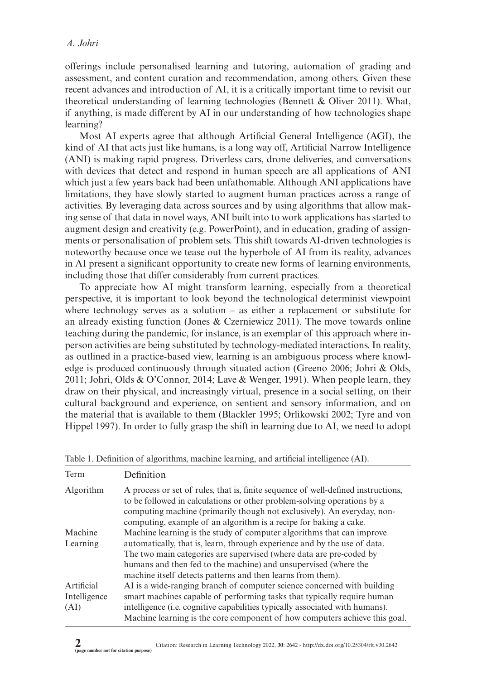offerings include personalised learning and tutoring, automation of grading and assessment, and content curation and recommendation, among others. Given these recent advances and introduction of AI, it is a critically important time to revisit our theoretical understanding of learning technologies (Bennett & Oliver 2011). What, if anything, is made different by AI in our understanding of how technologies shape learning?

Most AI experts agree that although Artificial General Intelligence (AGI), the kind of AI that acts just like humans, is a long way off, Artificial Narrow Intelligence (ANI) is making rapid progress. Driverless cars, drone deliveries, and conversations with devices that detect and respond in human speech are all applications of ANI which just a few years back had been unfathomable. Although ANI applications have limitations, they have slowly started to augment human practices across a range of activities. By leveraging data across sources and by using algorithms that allow making sense of that data in novel ways, ANI built into to work applications has started to augment design and creativity (e.g. PowerPoint), and in education, grading of assignments or personalisation of problem sets. This shift towards AI-driven technologies is noteworthy because once we tease out the hyperbole of AI from its reality, advances in AI present a significant opportunity to create new forms of learning environments, including those that differ considerably from current practices.

To appreciate how AI might transform learning, especially from a theoretical perspective, it is important to look beyond the technological determinist viewpoint where technology serves as a solution – as either a replacement or substitute for an already existing function (Jones & Czerniewicz 2011). The move towards online teaching during the pandemic, for instance, is an exemplar of this approach where inperson activities are being substituted by technology-mediated interactions. In reality, as outlined in a practice-based view, learning is an ambiguous process where knowledge is produced continuously through situated action (Greeno 2006; Johri & Olds, 2011; Johri, Olds  $& O'Connor, 2014$ ; Lave  $& Wenger, 1991$ ). When people learn, they draw on their physical, and increasingly virtual, presence in a social setting, on their cultural background and experience, on sentient and sensory information, and on the material that is available to them (Blackler 1995; Orlikowski 2002; Tyre and von Hippel 1997). In order to fully grasp the shift in learning due to AI, we need to adopt

| Term                               | Definition                                                                                                                                                                                                                                                                                                                                                  |  |
|------------------------------------|-------------------------------------------------------------------------------------------------------------------------------------------------------------------------------------------------------------------------------------------------------------------------------------------------------------------------------------------------------------|--|
| Algorithm                          | A process or set of rules, that is, finite sequence of well-defined instructions,<br>to be followed in calculations or other problem-solving operations by a<br>computing machine (primarily though not exclusively). An everyday, non-<br>computing, example of an algorithm is a recipe for baking a cake.                                                |  |
| Machine<br>Learning                | Machine learning is the study of computer algorithms that can improve<br>automatically, that is, learn, through experience and by the use of data.<br>The two main categories are supervised (where data are pre-coded by<br>humans and then fed to the machine) and unsupervised (where the<br>machine itself detects patterns and then learns from them). |  |
| Artificial<br>Intelligence<br>(AI) | AI is a wide-ranging branch of computer science concerned with building<br>smart machines capable of performing tasks that typically require human<br>intelligence (i.e. cognitive capabilities typically associated with humans).<br>Machine learning is the core component of how computers achieve this goal.                                            |  |

| Table 1. Definition of algorithms, machine learning, and artificial intelligence (AI). |  |  |  |
|----------------------------------------------------------------------------------------|--|--|--|
|----------------------------------------------------------------------------------------|--|--|--|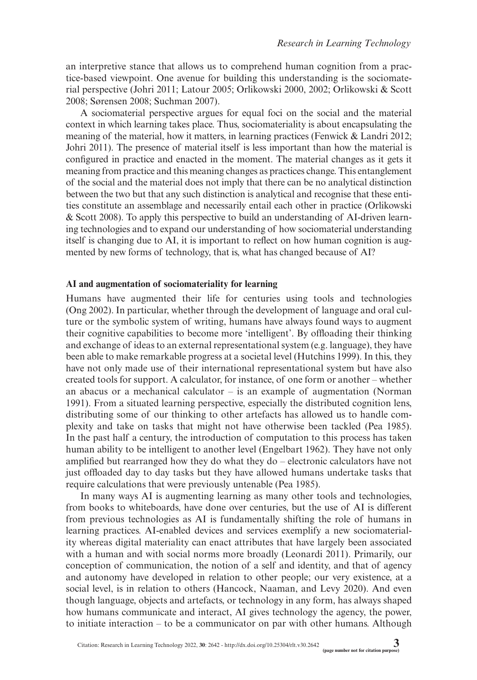an interpretive stance that allows us to comprehend human cognition from a practice-based viewpoint. One avenue for building this understanding is the sociomaterial perspective (Johri 2011; Latour 2005; Orlikowski 2000, 2002; Orlikowski & Scott 2008; Sørensen 2008; Suchman 2007).

A sociomaterial perspective argues for equal foci on the social and the material context in which learning takes place. Thus, sociomateriality is about encapsulating the meaning of the material, how it matters, in learning practices (Fenwick  $& Landri 2012$ ; Johri 2011). The presence of material itself is less important than how the material is configured in practice and enacted in the moment. The material changes as it gets it meaning from practice and this meaning changes as practices change. This entanglement of the social and the material does not imply that there can be no analytical distinction between the two but that any such distinction is analytical and recognise that these entities constitute an assemblage and necessarily entail each other in practice (Orlikowski & Scott 2008). To apply this perspective to build an understanding of AI-driven learning technologies and to expand our understanding of how sociomaterial understanding itself is changing due to AI, it is important to reflect on how human cognition is augmented by new forms of technology, that is, what has changed because of AI?

## **AI and augmentation of sociomateriality for learning**

Humans have augmented their life for centuries using tools and technologies (Ong 2002). In particular, whether through the development of language and oral culture or the symbolic system of writing, humans have always found ways to augment their cognitive capabilities to become more 'intelligent'. By offloading their thinking and exchange of ideas to an external representational system (e.g. language), they have been able to make remarkable progress at a societal level (Hutchins 1999). In this, they have not only made use of their international representational system but have also created tools for support. A calculator, for instance, of one form or another – whether an abacus or a mechanical calculator  $-$  is an example of augmentation (Norman 1991). From a situated learning perspective, especially the distributed cognition lens, distributing some of our thinking to other artefacts has allowed us to handle complexity and take on tasks that might not have otherwise been tackled (Pea 1985). In the past half a century, the introduction of computation to this process has taken human ability to be intelligent to another level (Engelbart 1962). They have not only amplified but rearranged how they do what they do – electronic calculators have not just offloaded day to day tasks but they have allowed humans undertake tasks that require calculations that were previously untenable (Pea 1985).

In many ways AI is augmenting learning as many other tools and technologies, from books to whiteboards, have done over centuries, but the use of AI is different from previous technologies as AI is fundamentally shifting the role of humans in learning practices. AI-enabled devices and services exemplify a new sociomateriality whereas digital materiality can enact attributes that have largely been associated with a human and with social norms more broadly (Leonardi 2011). Primarily, our conception of communication, the notion of a self and identity, and that of agency and autonomy have developed in relation to other people; our very existence, at a social level, is in relation to others (Hancock, Naaman, and Levy 2020). And even though language, objects and artefacts, or technology in any form, has always shaped how humans communicate and interact, AI gives technology the agency, the power, to initiate interaction – to be a communicator on par with other humans. Although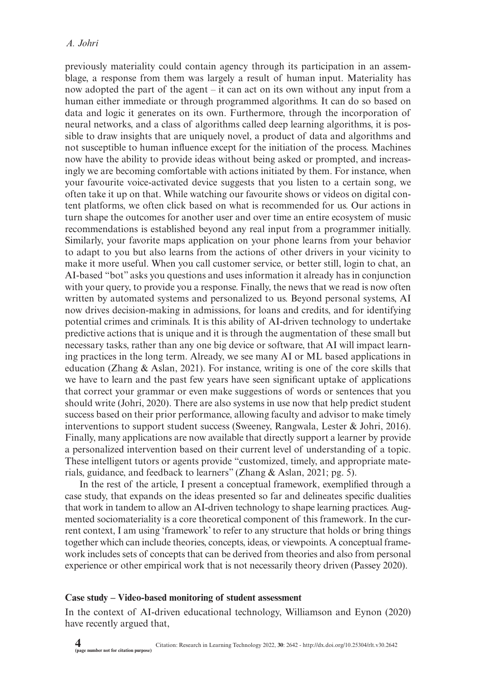previously materiality could contain agency through its participation in an assemblage, a response from them was largely a result of human input. Materiality has now adopted the part of the agent – it can act on its own without any input from a human either immediate or through programmed algorithms. It can do so based on data and logic it generates on its own. Furthermore, through the incorporation of neural networks, and a class of algorithms called deep learning algorithms, it is possible to draw insights that are uniquely novel, a product of data and algorithms and not susceptible to human influence except for the initiation of the process. Machines now have the ability to provide ideas without being asked or prompted, and increasingly we are becoming comfortable with actions initiated by them. For instance, when your favourite voice-activated device suggests that you listen to a certain song, we often take it up on that. While watching our favourite shows or videos on digital content platforms, we often click based on what is recommended for us. Our actions in turn shape the outcomes for another user and over time an entire ecosystem of music recommendations is established beyond any real input from a programmer initially. Similarly, your favorite maps application on your phone learns from your behavior to adapt to you but also learns from the actions of other drivers in your vicinity to make it more useful. When you call customer service, or better still, login to chat, an AI-based "bot" asks you questions and uses information it already has in conjunction with your query, to provide you a response. Finally, the news that we read is now often written by automated systems and personalized to us. Beyond personal systems, AI now drives decision-making in admissions, for loans and credits, and for identifying potential crimes and criminals. It is this ability of AI-driven technology to undertake predictive actions that is unique and it is through the augmentation of these small but necessary tasks, rather than any one big device or software, that AI will impact learning practices in the long term. Already, we see many AI or ML based applications in education (Zhang & Aslan, 2021). For instance, writing is one of the core skills that we have to learn and the past few years have seen significant uptake of applications that correct your grammar or even make suggestions of words or sentences that you should write (Johri, 2020). There are also systems in use now that help predict student success based on their prior performance, allowing faculty and advisor to make timely interventions to support student success (Sweeney, Rangwala, Lester & Johri, 2016). Finally, many applications are now available that directly support a learner by provide a personalized intervention based on their current level of understanding of a topic. These intelligent tutors or agents provide "customized, timely, and appropriate materials, guidance, and feedback to learners" (Zhang & Aslan, 2021; pg. 5).

In the rest of the article, I present a conceptual framework, exemplified through a case study, that expands on the ideas presented so far and delineates specific dualities that work in tandem to allow an AI-driven technology to shape learning practices. Augmented sociomateriality is a core theoretical component of this framework. In the current context, I am using 'framework' to refer to any structure that holds or bring things together which can include theories, concepts, ideas, or viewpoints. A conceptual framework includes sets of concepts that can be derived from theories and also from personal experience or other empirical work that is not necessarily theory driven (Passey 2020).

## **Case study – Video-based monitoring of student assessment**

In the context of AI-driven educational technology, Williamson and Eynon (2020) have recently argued that,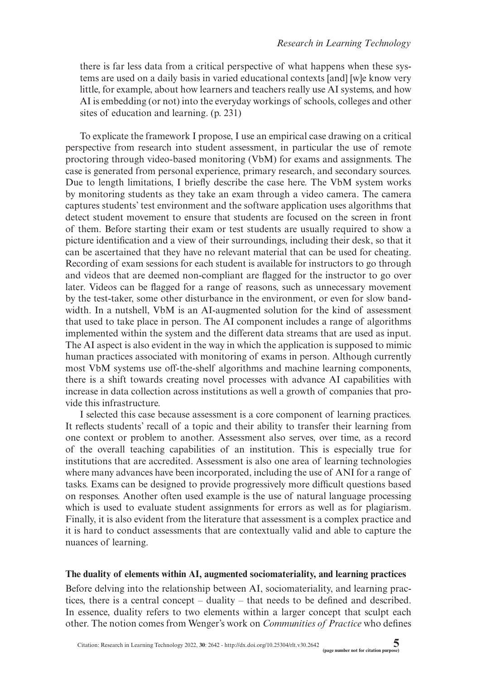there is far less data from a critical perspective of what happens when these systems are used on a daily basis in varied educational contexts [and] [w]e know very little, for example, about how learners and teachers really use AI systems, and how AI is embedding (or not) into the everyday workings of schools, colleges and other sites of education and learning. (p. 231)

To explicate the framework I propose, I use an empirical case drawing on a critical perspective from research into student assessment, in particular the use of remote proctoring through video-based monitoring (VbM) for exams and assignments. The case is generated from personal experience, primary research, and secondary sources. Due to length limitations, I briefly describe the case here. The VbM system works by monitoring students as they take an exam through a video camera. The camera captures students' test environment and the software application uses algorithms that detect student movement to ensure that students are focused on the screen in front of them. Before starting their exam or test students are usually required to show a picture identification and a view of their surroundings, including their desk, so that it can be ascertained that they have no relevant material that can be used for cheating. Recording of exam sessions for each student is available for instructors to go through and videos that are deemed non-compliant are flagged for the instructor to go over later. Videos can be flagged for a range of reasons, such as unnecessary movement by the test-taker, some other disturbance in the environment, or even for slow bandwidth. In a nutshell, VbM is an AI-augmented solution for the kind of assessment that used to take place in person. The AI component includes a range of algorithms implemented within the system and the different data streams that are used as input. The AI aspect is also evident in the way in which the application is supposed to mimic human practices associated with monitoring of exams in person. Although currently most VbM systems use off-the-shelf algorithms and machine learning components, there is a shift towards creating novel processes with advance AI capabilities with increase in data collection across institutions as well a growth of companies that provide this infrastructure.

I selected this case because assessment is a core component of learning practices. It reflects students' recall of a topic and their ability to transfer their learning from one context or problem to another. Assessment also serves, over time, as a record of the overall teaching capabilities of an institution. This is especially true for institutions that are accredited. Assessment is also one area of learning technologies where many advances have been incorporated, including the use of ANI for a range of tasks. Exams can be designed to provide progressively more difficult questions based on responses. Another often used example is the use of natural language processing which is used to evaluate student assignments for errors as well as for plagiarism. Finally, it is also evident from the literature that assessment is a complex practice and it is hard to conduct assessments that are contextually valid and able to capture the nuances of learning.

## **The duality of elements within AI, augmented sociomateriality, and learning practices**

Before delving into the relationship between AI, sociomateriality, and learning practices, there is a central concept – duality – that needs to be defined and described. In essence, duality refers to two elements within a larger concept that sculpt each other. The notion comes from Wenger's work on *Communities of Practice* who defines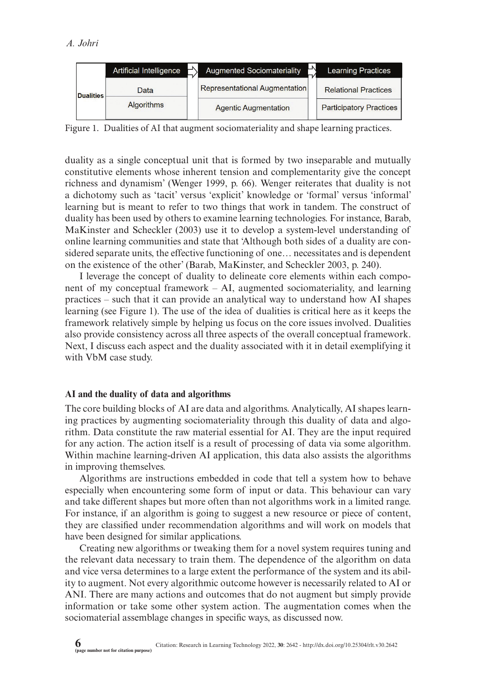|                  | Artificial Intelligence | <b>Augmented Sociomateriality</b> | <b>Learning Practices</b>      |
|------------------|-------------------------|-----------------------------------|--------------------------------|
| <b>Dualities</b> | Data                    | Representational Augmentation     | <b>Relational Practices</b>    |
|                  | <b>Algorithms</b>       | <b>Agentic Augmentation</b>       | <b>Participatory Practices</b> |

Figure 1. Dualities of AI that augment sociomateriality and shape learning practices.

duality as a single conceptual unit that is formed by two inseparable and mutually constitutive elements whose inherent tension and complementarity give the concept richness and dynamism' (Wenger 1999, p. 66). Wenger reiterates that duality is not a dichotomy such as 'tacit' versus 'explicit' knowledge or 'formal' versus 'informal' learning but is meant to refer to two things that work in tandem. The construct of duality has been used by others to examine learning technologies. For instance, Barab, MaKinster and Scheckler (2003) use it to develop a system-level understanding of online learning communities and state that 'Although both sides of a duality are considered separate units, the effective functioning of one… necessitates and is dependent on the existence of the other' (Barab, MaKinster, and Scheckler 2003, p. 240).

I leverage the concept of duality to delineate core elements within each component of my conceptual framework – AI, augmented sociomateriality, and learning practices – such that it can provide an analytical way to understand how AI shapes learning (see Figure 1). The use of the idea of dualities is critical here as it keeps the framework relatively simple by helping us focus on the core issues involved. Dualities also provide consistency across all three aspects of the overall conceptual framework. Next, I discuss each aspect and the duality associated with it in detail exemplifying it with VbM case study.

## **AI and the duality of data and algorithms**

The core building blocks of AI are data and algorithms. Analytically, AI shapes learning practices by augmenting sociomateriality through this duality of data and algorithm. Data constitute the raw material essential for AI. They are the input required for any action. The action itself is a result of processing of data via some algorithm. Within machine learning-driven AI application, this data also assists the algorithms in improving themselves.

Algorithms are instructions embedded in code that tell a system how to behave especially when encountering some form of input or data. This behaviour can vary and take different shapes but more often than not algorithms work in a limited range. For instance, if an algorithm is going to suggest a new resource or piece of content, they are classified under recommendation algorithms and will work on models that have been designed for similar applications.

Creating new algorithms or tweaking them for a novel system requires tuning and the relevant data necessary to train them. The dependence of the algorithm on data and vice versa determines to a large extent the performance of the system and its ability to augment. Not every algorithmic outcome however is necessarily related to AI or ANI. There are many actions and outcomes that do not augment but simply provide information or take some other system action. The augmentation comes when the sociomaterial assemblage changes in specific ways, as discussed now.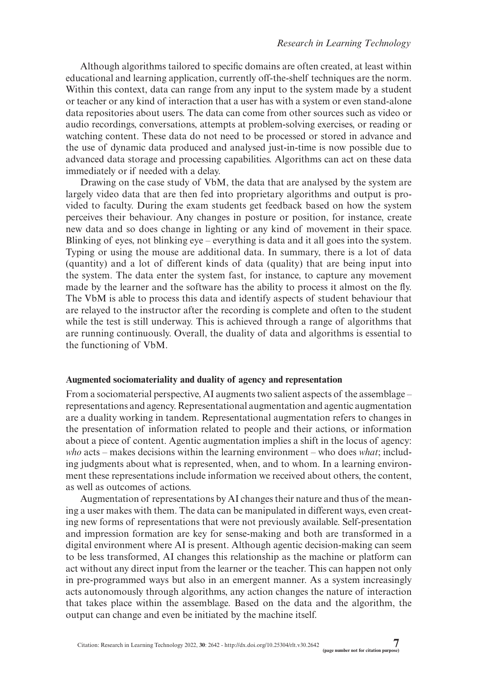Although algorithms tailored to specific domains are often created, at least within educational and learning application, currently off-the-shelf techniques are the norm. Within this context, data can range from any input to the system made by a student or teacher or any kind of interaction that a user has with a system or even stand-alone data repositories about users. The data can come from other sources such as video or audio recordings, conversations, attempts at problem-solving exercises, or reading or watching content. These data do not need to be processed or stored in advance and the use of dynamic data produced and analysed just-in-time is now possible due to advanced data storage and processing capabilities. Algorithms can act on these data immediately or if needed with a delay.

Drawing on the case study of VbM, the data that are analysed by the system are largely video data that are then fed into proprietary algorithms and output is provided to faculty. During the exam students get feedback based on how the system perceives their behaviour. Any changes in posture or position, for instance, create new data and so does change in lighting or any kind of movement in their space. Blinking of eyes, not blinking eye – everything is data and it all goes into the system. Typing or using the mouse are additional data. In summary, there is a lot of data (quantity) and a lot of different kinds of data (quality) that are being input into the system. The data enter the system fast, for instance, to capture any movement made by the learner and the software has the ability to process it almost on the fly. The VbM is able to process this data and identify aspects of student behaviour that are relayed to the instructor after the recording is complete and often to the student while the test is still underway. This is achieved through a range of algorithms that are running continuously. Overall, the duality of data and algorithms is essential to the functioning of VbM.

#### **Augmented sociomateriality and duality of agency and representation**

From a sociomaterial perspective, AI augments two salient aspects of the assemblage – representations and agency. Representational augmentation and agentic augmentation are a duality working in tandem. Representational augmentation refers to changes in the presentation of information related to people and their actions, or information about a piece of content. Agentic augmentation implies a shift in the locus of agency: *who* acts – makes decisions within the learning environment – who does *what*; including judgments about what is represented, when, and to whom. In a learning environment these representations include information we received about others, the content, as well as outcomes of actions.

Augmentation of representations by AI changes their nature and thus of the meaning a user makes with them. The data can be manipulated in different ways, even creating new forms of representations that were not previously available. Self-presentation and impression formation are key for sense-making and both are transformed in a digital environment where AI is present. Although agentic decision-making can seem to be less transformed, AI changes this relationship as the machine or platform can act without any direct input from the learner or the teacher. This can happen not only in pre-programmed ways but also in an emergent manner. As a system increasingly acts autonomously through algorithms, any action changes the nature of interaction that takes place within the assemblage. Based on the data and the algorithm, the output can change and even be initiated by the machine itself.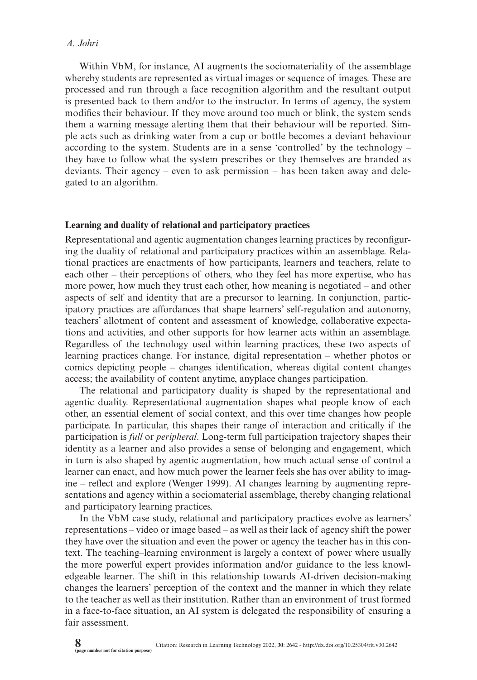# *A. Johri*

Within VbM, for instance, AI augments the sociomateriality of the assemblage whereby students are represented as virtual images or sequence of images. These are processed and run through a face recognition algorithm and the resultant output is presented back to them and/or to the instructor. In terms of agency, the system modifies their behaviour. If they move around too much or blink, the system sends them a warning message alerting them that their behaviour will be reported. Simple acts such as drinking water from a cup or bottle becomes a deviant behaviour according to the system. Students are in a sense 'controlled' by the technology – they have to follow what the system prescribes or they themselves are branded as deviants. Their agency – even to ask permission – has been taken away and delegated to an algorithm.

## **Learning and duality of relational and participatory practices**

Representational and agentic augmentation changes learning practices by reconfiguring the duality of relational and participatory practices within an assemblage. Relational practices are enactments of how participants, learners and teachers, relate to each other – their perceptions of others, who they feel has more expertise, who has more power, how much they trust each other, how meaning is negotiated – and other aspects of self and identity that are a precursor to learning. In conjunction, participatory practices are affordances that shape learners' self-regulation and autonomy, teachers' allotment of content and assessment of knowledge, collaborative expectations and activities, and other supports for how learner acts within an assemblage. Regardless of the technology used within learning practices, these two aspects of learning practices change. For instance, digital representation – whether photos or comics depicting people – changes identification, whereas digital content changes access; the availability of content anytime, anyplace changes participation.

The relational and participatory duality is shaped by the representational and agentic duality. Representational augmentation shapes what people know of each other, an essential element of social context, and this over time changes how people participate. In particular, this shapes their range of interaction and critically if the participation is *full* or *peripheral*. Long-term full participation trajectory shapes their identity as a learner and also provides a sense of belonging and engagement, which in turn is also shaped by agentic augmentation, how much actual sense of control a learner can enact, and how much power the learner feels she has over ability to imagine – reflect and explore (Wenger 1999). AI changes learning by augmenting representations and agency within a sociomaterial assemblage, thereby changing relational and participatory learning practices.

In the VbM case study, relational and participatory practices evolve as learners' representations – video or image based – as well as their lack of agency shift the power they have over the situation and even the power or agency the teacher has in this context. The teaching–learning environment is largely a context of power where usually the more powerful expert provides information and/or guidance to the less knowledgeable learner. The shift in this relationship towards AI-driven decision-making changes the learners' perception of the context and the manner in which they relate to the teacher as well as their institution. Rather than an environment of trust formed in a face-to-face situation, an AI system is delegated the responsibility of ensuring a fair assessment.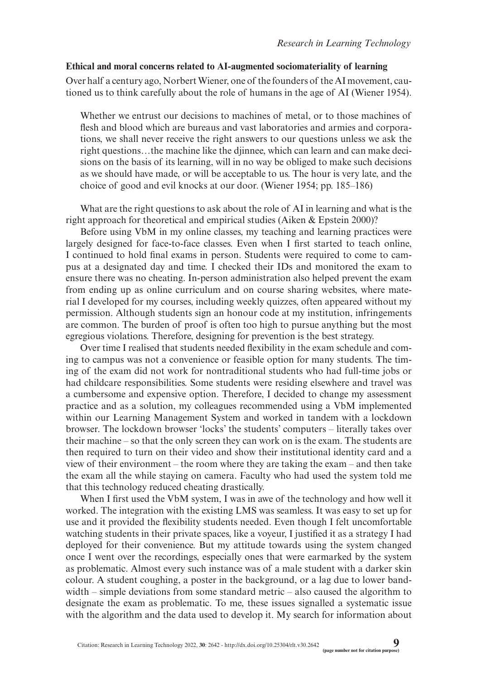# **Ethical and moral concerns related to AI-augmented sociomateriality of learning**

Over half a century ago, Norbert Wiener, one of the founders of the AI movement, cautioned us to think carefully about the role of humans in the age of AI (Wiener 1954).

Whether we entrust our decisions to machines of metal, or to those machines of flesh and blood which are bureaus and vast laboratories and armies and corporations, we shall never receive the right answers to our questions unless we ask the right questions…the machine like the djinnee, which can learn and can make decisions on the basis of its learning, will in no way be obliged to make such decisions as we should have made, or will be acceptable to us. The hour is very late, and the choice of good and evil knocks at our door. (Wiener 1954; pp. 185–186)

What are the right questions to ask about the role of AI in learning and what is the right approach for theoretical and empirical studies (Aiken & Epstein 2000)?

Before using VbM in my online classes, my teaching and learning practices were largely designed for face-to-face classes. Even when I first started to teach online, I continued to hold final exams in person. Students were required to come to campus at a designated day and time. I checked their IDs and monitored the exam to ensure there was no cheating. In-person administration also helped prevent the exam from ending up as online curriculum and on course sharing websites, where material I developed for my courses, including weekly quizzes, often appeared without my permission. Although students sign an honour code at my institution, infringements are common. The burden of proof is often too high to pursue anything but the most egregious violations. Therefore, designing for prevention is the best strategy.

Over time I realised that students needed flexibility in the exam schedule and coming to campus was not a convenience or feasible option for many students. The timing of the exam did not work for nontraditional students who had full-time jobs or had childcare responsibilities. Some students were residing elsewhere and travel was a cumbersome and expensive option. Therefore, I decided to change my assessment practice and as a solution, my colleagues recommended using a VbM implemented within our Learning Management System and worked in tandem with a lockdown browser. The lockdown browser 'locks' the students' computers – literally takes over their machine – so that the only screen they can work on is the exam. The students are then required to turn on their video and show their institutional identity card and a view of their environment – the room where they are taking the exam – and then take the exam all the while staying on camera. Faculty who had used the system told me that this technology reduced cheating drastically.

When I first used the VbM system, I was in awe of the technology and how well it worked. The integration with the existing LMS was seamless. It was easy to set up for use and it provided the flexibility students needed. Even though I felt uncomfortable watching students in their private spaces, like a voyeur, I justified it as a strategy I had deployed for their convenience. But my attitude towards using the system changed once I went over the recordings, especially ones that were earmarked by the system as problematic. Almost every such instance was of a male student with a darker skin colour. A student coughing, a poster in the background, or a lag due to lower bandwidth – simple deviations from some standard metric – also caused the algorithm to designate the exam as problematic. To me, these issues signalled a systematic issue with the algorithm and the data used to develop it. My search for information about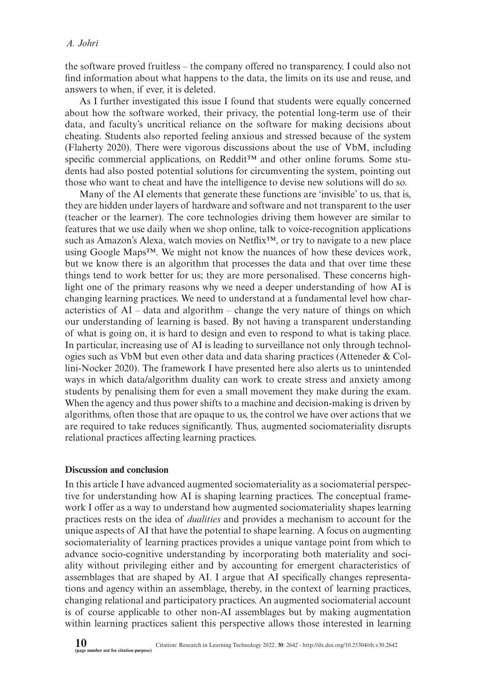the software proved fruitless – the company offered no transparency. I could also not find information about what happens to the data, the limits on its use and reuse, and answers to when, if ever, it is deleted.

As I further investigated this issue I found that students were equally concerned about how the software worked, their privacy, the potential long-term use of their data, and faculty's uncritical reliance on the software for making decisions about cheating. Students also reported feeling anxious and stressed because of the system (Flaherty 2020). There were vigorous discussions about the use of VbM, including specific commercial applications, on Reddit<sup>™</sup> and other online forums. Some students had also posted potential solutions for circumventing the system, pointing out those who want to cheat and have the intelligence to devise new solutions will do so.

Many of the AI elements that generate these functions are 'invisible' to us, that is, they are hidden under layers of hardware and software and not transparent to the user (teacher or the learner). The core technologies driving them however are similar to features that we use daily when we shop online, talk to voice-recognition applications such as Amazon's Alexa, watch movies on Netflix<sup>™</sup>, or try to navigate to a new place using Google Maps™. We might not know the nuances of how these devices work, but we know there is an algorithm that processes the data and that over time these things tend to work better for us; they are more personalised. These concerns highlight one of the primary reasons why we need a deeper understanding of how AI is changing learning practices. We need to understand at a fundamental level how characteristics of AI – data and algorithm – change the very nature of things on which our understanding of learning is based. By not having a transparent understanding of what is going on, it is hard to design and even to respond to what is taking place. In particular, increasing use of AI is leading to surveillance not only through technologies such as VbM but even other data and data sharing practices (Atteneder & Collini-Nocker 2020). The framework I have presented here also alerts us to unintended ways in which data/algorithm duality can work to create stress and anxiety among students by penalising them for even a small movement they make during the exam. When the agency and thus power shifts to a machine and decision-making is driven by algorithms, often those that are opaque to us, the control we have over actions that we are required to take reduces significantly. Thus, augmented sociomateriality disrupts relational practices affecting learning practices.

## **Discussion and conclusion**

In this article I have advanced augmented sociomateriality as a sociomaterial perspective for understanding how AI is shaping learning practices. The conceptual framework I offer as a way to understand how augmented sociomateriality shapes learning practices rests on the idea of *dualities* and provides a mechanism to account for the unique aspects of AI that have the potential to shape learning. A focus on augmenting sociomateriality of learning practices provides a unique vantage point from which to advance socio-cognitive understanding by incorporating both materiality and sociality without privileging either and by accounting for emergent characteristics of assemblages that are shaped by AI. I argue that AI specifically changes representations and agency within an assemblage, thereby, in the context of learning practices, changing relational and participatory practices. An augmented sociomaterial account is of course applicable to other non-AI assemblages but by making augmentation within learning practices salient this perspective allows those interested in learning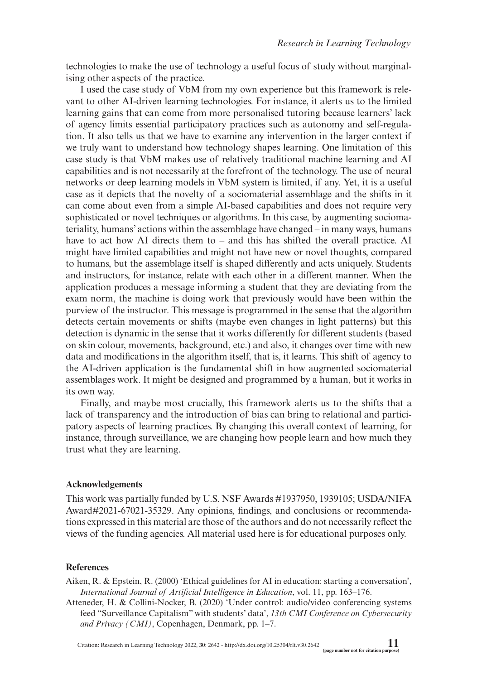technologies to make the use of technology a useful focus of study without marginalising other aspects of the practice.

I used the case study of VbM from my own experience but this framework is relevant to other AI-driven learning technologies. For instance, it alerts us to the limited learning gains that can come from more personalised tutoring because learners' lack of agency limits essential participatory practices such as autonomy and self-regulation. It also tells us that we have to examine any intervention in the larger context if we truly want to understand how technology shapes learning. One limitation of this case study is that VbM makes use of relatively traditional machine learning and AI capabilities and is not necessarily at the forefront of the technology. The use of neural networks or deep learning models in VbM system is limited, if any. Yet, it is a useful case as it depicts that the novelty of a sociomaterial assemblage and the shifts in it can come about even from a simple AI-based capabilities and does not require very sophisticated or novel techniques or algorithms. In this case, by augmenting sociomateriality, humans' actions within the assemblage have changed – in many ways, humans have to act how AI directs them to – and this has shifted the overall practice. AI might have limited capabilities and might not have new or novel thoughts, compared to humans, but the assemblage itself is shaped differently and acts uniquely. Students and instructors, for instance, relate with each other in a different manner. When the application produces a message informing a student that they are deviating from the exam norm, the machine is doing work that previously would have been within the purview of the instructor. This message is programmed in the sense that the algorithm detects certain movements or shifts (maybe even changes in light patterns) but this detection is dynamic in the sense that it works differently for different students (based on skin colour, movements, background, etc.) and also, it changes over time with new data and modifications in the algorithm itself, that is, it learns. This shift of agency to the AI-driven application is the fundamental shift in how augmented sociomaterial assemblages work. It might be designed and programmed by a human, but it works in its own way.

Finally, and maybe most crucially, this framework alerts us to the shifts that a lack of transparency and the introduction of bias can bring to relational and participatory aspects of learning practices. By changing this overall context of learning, for instance, through surveillance, we are changing how people learn and how much they trust what they are learning.

## **Acknowledgements**

This work was partially funded by U.S. NSF Awards #1937950, 1939105; USDA/NIFA Award#2021-67021-35329. Any opinions, findings, and conclusions or recommendations expressed in this material are those of the authors and do not necessarily reflect the views of the funding agencies. All material used here is for educational purposes only.

# **References**

Aiken, R. & Epstein, R. (2000) 'Ethical guidelines for AI in education: starting a conversation', *International Journal of Artificial Intelligence in Education*, vol. 11, pp. 163–176.

Atteneder, H. & Collini-Nocker, B. (2020) 'Under control: audio/video conferencing systems feed "Surveillance Capitalism" with students' data', *13th CMI Conference on Cybersecurity and Privacy (CMI)*, Copenhagen, Denmark, pp. 1–7.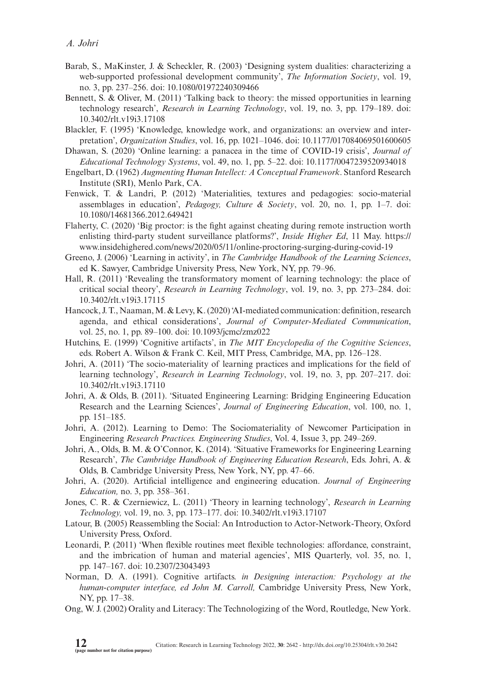- Barab, S., MaKinster, J. & Scheckler, R. (2003) 'Designing system dualities: characterizing a web-supported professional development community', *The Information Society*, vol. 19, no. 3, pp. 237–256. doi: [10.1080/01972240309466](http://dx.doi.org/10.1080/01972240309466)
- Bennett, S. & Oliver, M. (2011) 'Talking back to theory: the missed opportunities in learning technology research', *Research in Learning Technology*, vol. 19, no. 3, pp. 179–189. doi: [10.3402/rlt.v19i3.17108](http://dx.doi.org/10.3402/rlt.v19i3.17108)
- Blackler, F. (1995) 'Knowledge, knowledge work, and organizations: an overview and interpretation', *Organization Studies*, vol. 16, pp. 1021–1046. doi: [10.1177/017084069501600605](http://dx.doi.org/10.1177/017084069501600605)
- Dhawan, S. (2020) 'Online learning: a panacea in the time of COVID-19 crisis', *Journal of Educational Technology Systems*, vol. 49, no. 1, pp. 5–22. doi: [10.1177/0047239520934018](http://dx.doi.org/10.1177/0047239520934018)
- Engelbart, D. (1962) *Augmenting Human Intellect: A Conceptual Framework*. Stanford Research Institute (SRI), Menlo Park, CA.
- Fenwick, T. & Landri, P. (2012) 'Materialities, textures and pedagogies: socio-material assemblages in education', *Pedagogy, Culture & Society*, vol. 20, no. 1, pp. 1–7. doi: [10.1080/14681366.2012.649421](http://dx.doi.org/10.1080/14681366.2012.649421)
- Flaherty, C. (2020) 'Big proctor: is the fight against cheating during remote instruction worth enlisting third-party student surveillance platforms?', *Inside Higher Ed*, 11 May. https:// www.insidehighered.com/news/2020/05/11/online-proctoring-surging-during-covid-19
- Greeno, J. (2006) 'Learning in activity', in *The Cambridge Handbook of the Learning Sciences*, ed K. Sawyer, Cambridge University Press, New York, NY, pp. 79–96.
- Hall, R. (2011) 'Revealing the transformatory moment of learning technology: the place of critical social theory', *Research in Learning Technology*, vol. 19, no. 3, pp. 273–284. doi: [10.3402/rlt.v19i3.17115](http://dx.doi.org/10.3402/rlt.v19i3.17115)
- Hancock, J. T., Naaman, M. & Levy, K. (2020) 'AI-mediated communication: definition, research agenda, and ethical considerations', *Journal of Computer-Mediated Communication*, vol. 25, no. 1, pp. 89–100. doi: [10.1093/jcmc/zmz022](http://dx.doi.org/10.1093/jcmc/zmz022)
- Hutchins, E. (1999) 'Cognitive artifacts', in *The MIT Encyclopedia of the Cognitive Sciences*, eds. Robert A. Wilson & Frank C. Keil, MIT Press, Cambridge, MA, pp. 126–128.
- Johri, A. (2011) 'The socio-materiality of learning practices and implications for the field of learning technology', *Research in Learning Technology*, vol. 19, no. 3, pp. 207–217. doi: [10.3402/rlt.v19i3.17110](http://dx.doi.org/10.3402/rlt.v19i3.17110)
- Johri, A. & Olds, B. (2011). 'Situated Engineering Learning: Bridging Engineering Education Research and the Learning Sciences', *Journal of Engineering Education*, vol. 100, no. 1, pp. 151–185.
- Johri, A. (2012). Learning to Demo: The Sociomateriality of Newcomer Participation in Engineering *Research Practices. Engineering Studies*, Vol. 4, Issue 3, pp. 249–269.
- Johri, A., Olds, B. M. & O'Connor, K. (2014). 'Situative Frameworks for Engineering Learning Research', *The Cambridge Handbook of Engineering Education Research*, Eds. Johri, A. & Olds, B. Cambridge University Press, New York, NY, pp. 47–66.
- Johri, A. (2020). Artificial intelligence and engineering education. *Journal of Engineering Education,* no. 3, pp. 358–361.
- Jones, C. R. & [Czerniewicz, L. \(2011\) '](http://dx.doi.org/10.3402/rlt.v19i3.17107)Theory in learning technology', *Research in Learning Technology,* vol. 19, no. 3, pp. 173–177. doi: 10.3402/rlt.v19i3.17107
- Latour, B. (2005) Reassembling the Social: An Introduction to Actor-Network-Theory, Oxford University Press, Oxford.
- Leonardi, P. (2011) 'When flexible routines meet flexible technologies: affordance, constraint, and the imbrication of human and material agencies', MIS Quarterly, vol. 35, no. 1, pp. 147–167. doi: 10.2307/23043493
- Norman, D. A. (1991). Cognitive artifacts. *in Designing interaction: Psychology at the human-computer interface, ed John M. Carroll,* Cambridge University Press, New York, NY, pp. 17–38.
- Ong, W. J. (2002) Orality and Literacy: The Technologizing of the Word, Routledge, New York.